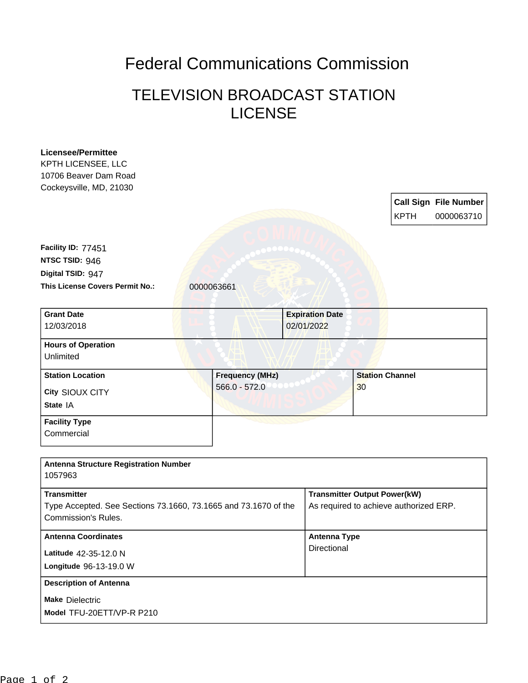## Federal Communications Commission

## TELEVISION BROADCAST STATION LICENSE

| <b>Licensee/Permittee</b><br>KPTH LICENSEE, LLC<br>10706 Beaver Dam Road<br>Cockeysville, MD, 21030 |            |                        |                                      |                                        |                        |             |                                            |
|-----------------------------------------------------------------------------------------------------|------------|------------------------|--------------------------------------|----------------------------------------|------------------------|-------------|--------------------------------------------|
|                                                                                                     |            |                        |                                      |                                        |                        | <b>KPTH</b> | <b>Call Sign File Number</b><br>0000063710 |
| Facility ID: 77451                                                                                  |            |                        |                                      |                                        |                        |             |                                            |
| NTSC TSID: 946                                                                                      |            |                        |                                      |                                        |                        |             |                                            |
| Digital TSID: 947                                                                                   |            |                        |                                      |                                        |                        |             |                                            |
| This License Covers Permit No.:                                                                     | 0000063661 |                        |                                      |                                        |                        |             |                                            |
| <b>Grant Date</b><br>12/03/2018                                                                     |            |                        | <b>Expiration Date</b><br>02/01/2022 |                                        |                        |             |                                            |
| <b>Hours of Operation</b><br><b>Unlimited</b>                                                       |            |                        |                                      |                                        |                        |             |                                            |
| <b>Station Location</b>                                                                             |            | <b>Frequency (MHz)</b> |                                      |                                        | <b>Station Channel</b> |             |                                            |
| City SIOUX CITY                                                                                     |            | $566.0 - 572.0$        |                                      |                                        | 30                     |             |                                            |
| State IA                                                                                            |            |                        |                                      |                                        |                        |             |                                            |
| <b>Facility Type</b><br>Commercial                                                                  |            |                        |                                      |                                        |                        |             |                                            |
| <b>Antenna Structure Registration Number</b><br>1057963                                             |            |                        |                                      |                                        |                        |             |                                            |
| <b>Transmitter</b>                                                                                  |            |                        |                                      | <b>Transmitter Output Power(kW)</b>    |                        |             |                                            |
| Type Accepted. See Sections 73.1660, 73.1665 and 73.1670 of the                                     |            |                        |                                      | As required to achieve authorized ERP. |                        |             |                                            |
| <b>Commission's Rules.</b>                                                                          |            |                        |                                      |                                        |                        |             |                                            |
| <b>Antenna Coordinates</b>                                                                          |            |                        |                                      | <b>Antenna Type</b>                    |                        |             |                                            |
| Latitude 42-35-12.0 N                                                                               |            |                        |                                      | Directional                            |                        |             |                                            |
| Longitude 96-13-19.0 W                                                                              |            |                        |                                      |                                        |                        |             |                                            |
| <b>Description of Antenna</b>                                                                       |            |                        |                                      |                                        |                        |             |                                            |
| <b>Make Dielectric</b>                                                                              |            |                        |                                      |                                        |                        |             |                                            |
| Model TFU-20ETT/VP-R P210                                                                           |            |                        |                                      |                                        |                        |             |                                            |
|                                                                                                     |            |                        |                                      |                                        |                        |             |                                            |